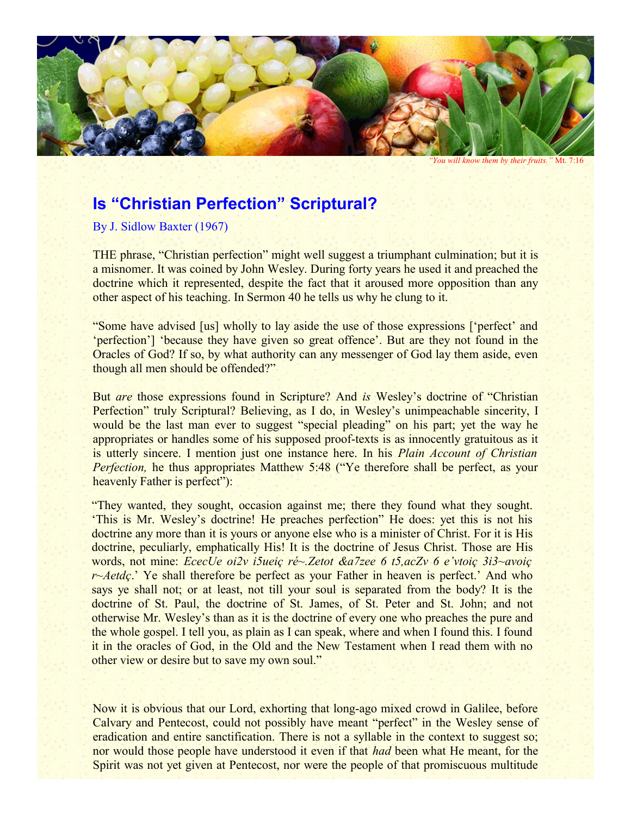

*"You will know them by their fruits."* Mt. 7:16

## **Is "Christian Perfection" Scriptural?**

By J. Sidlow Baxter (1967)

THE phrase, "Christian perfection" might well suggest a triumphant culmination; but it is a misnomer. It was coined by John Wesley. During forty years he used it and preached the doctrine which it represented, despite the fact that it aroused more opposition than any other aspect of his teaching. In Sermon 40 he tells us why he clung to it.

"Some have advised [us] wholly to lay aside the use of those expressions ['perfect' and 'perfection'] 'because they have given so great offence'. But are they not found in the Oracles of God? If so, by what authority can any messenger of God lay them aside, even though all men should be offended?"

But *are* those expressions found in Scripture? And *is* Wesley's doctrine of "Christian Perfection" truly Scriptural? Believing, as I do, in Wesley's unimpeachable sincerity, I would be the last man ever to suggest "special pleading" on his part; yet the way he appropriates or handles some of his supposed proof-texts is as innocently gratuitous as it is utterly sincere. I mention just one instance here. In his *Plain Account of Christian Perfection*, he thus appropriates Matthew 5:48 ("Ye therefore shall be perfect, as your heavenly Father is perfect"):

"They wanted, they sought, occasion against me; there they found what they sought. 'This is Mr. Wesley's doctrine! He preaches perfection" He does: yet this is not his doctrine any more than it is yours or anyone else who is a minister of Christ. For it is His doctrine, peculiarly, emphatically His! It is the doctrine of Jesus Christ. Those are His words, not mine: *EcecUe oi2v i5ueiç ré~.Zetot &a7zee 6 t5,acZv 6 e'vtoiç 3i3~avoiç r~Aetdç*.' Ye shall therefore be perfect as your Father in heaven is perfect.' And who says ye shall not; or at least, not till your soul is separated from the body? It is the doctrine of St. Paul, the doctrine of St. James, of St. Peter and St. John; and not otherwise Mr. Wesley's than as it is the doctrine of every one who preaches the pure and the whole gospel. I tell you, as plain as I can speak, where and when I found this. I found it in the oracles of God, in the Old and the New Testament when I read them with no other view or desire but to save my own soul."

Now it is obvious that our Lord, exhorting that long-ago mixed crowd in Galilee, before Calvary and Pentecost, could not possibly have meant "perfect" in the Wesley sense of eradication and entire sanctification. There is not a syllable in the context to suggest so; nor would those people have understood it even if that *had* been what He meant, for the Spirit was not yet given at Pentecost, nor were the people of that promiscuous multitude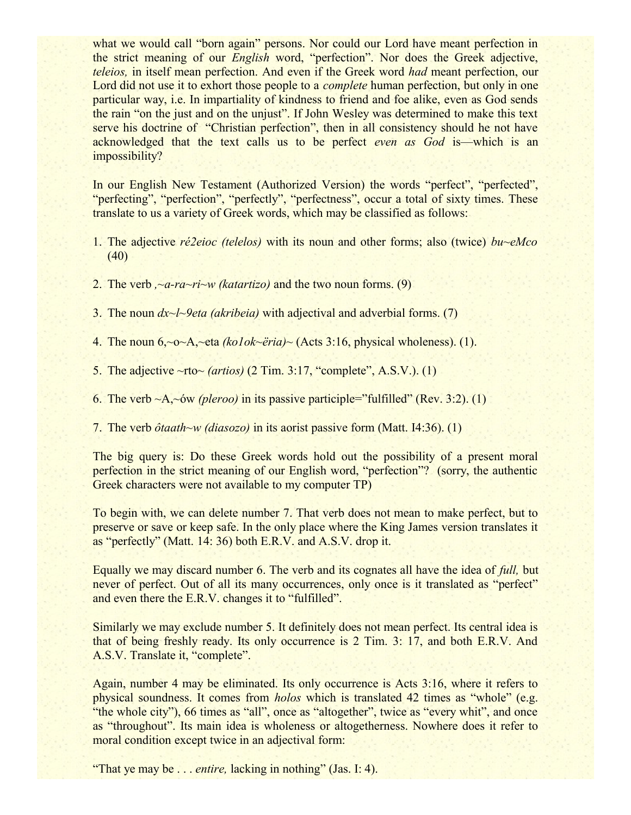what we would call "born again" persons. Nor could our Lord have meant perfection in the strict meaning of our *English* word, "perfection". Nor does the Greek adjective, *teleios,* in itself mean perfection. And even if the Greek word *had* meant perfection, our Lord did not use it to exhort those people to a *complete* human perfection, but only in one particular way, i.e. In impartiality of kindness to friend and foe alike, even as God sends the rain "on the just and on the unjust". If John Wesley was determined to make this text serve his doctrine of "Christian perfection", then in all consistency should he not have acknowledged that the text calls us to be perfect *even as God* is—which is an impossibility?

In our English New Testament (Authorized Version) the words "perfect", "perfected", "perfecting", "perfection", "perfectly", "perfectness", occur a total of sixty times. These translate to us a variety of Greek words, which may be classified as follows:

- 1. The adjective *ré2eioc (telelos)* with its noun and other forms; also (twice) *bu~eMco* (40)
- 2. The verb *,~a-ra~ri~w (katartizo)* and the two noun forms. (9)
- 3. The noun *dx~l~9eta (akribeia)* with adjectival and adverbial forms. (7)
- 4. The noun 6,~o~A,~eta *(ko1ok~ëria)~* (Acts 3:16, physical wholeness). (1).
- 5. The adjective ~rto~ *(artios)* (2 Tim. 3:17, "complete", A.S.V.). (1)
- 6. The verb ~A,~ów *(pleroo)* in its passive participle="fulfilled" (Rev. 3:2). (1)

7. The verb *ôtaath~w (diasozo)* in its aorist passive form (Matt. I4:36). (1)

The big query is: Do these Greek words hold out the possibility of a present moral perfection in the strict meaning of our English word, "perfection"? (sorry, the authentic Greek characters were not available to my computer TP)

To begin with, we can delete number 7. That verb does not mean to make perfect, but to preserve or save or keep safe. In the only place where the King James version translates it as "perfectly" (Matt. 14: 36) both E.R.V. and A.S.V. drop it.

Equally we may discard number 6. The verb and its cognates all have the idea of *full,* but never of perfect. Out of all its many occurrences, only once is it translated as "perfect" and even there the E.R.V. changes it to "fulfilled".

Similarly we may exclude number 5. It definitely does not mean perfect. Its central idea is that of being freshly ready. Its only occurrence is 2 Tim. 3: 17, and both E.R.V. And A.S.V. Translate it, "complete".

Again, number 4 may be eliminated. Its only occurrence is Acts 3:16, where it refers to physical soundness. It comes from *holos* which is translated 42 times as "whole" (e.g. "the whole city"), 66 times as "all", once as "altogether", twice as "every whit", and once as "throughout". Its main idea is wholeness or altogetherness. Nowhere does it refer to moral condition except twice in an adjectival form:

"That ye may be . . . *entire*, lacking in nothing" (Jas. I: 4).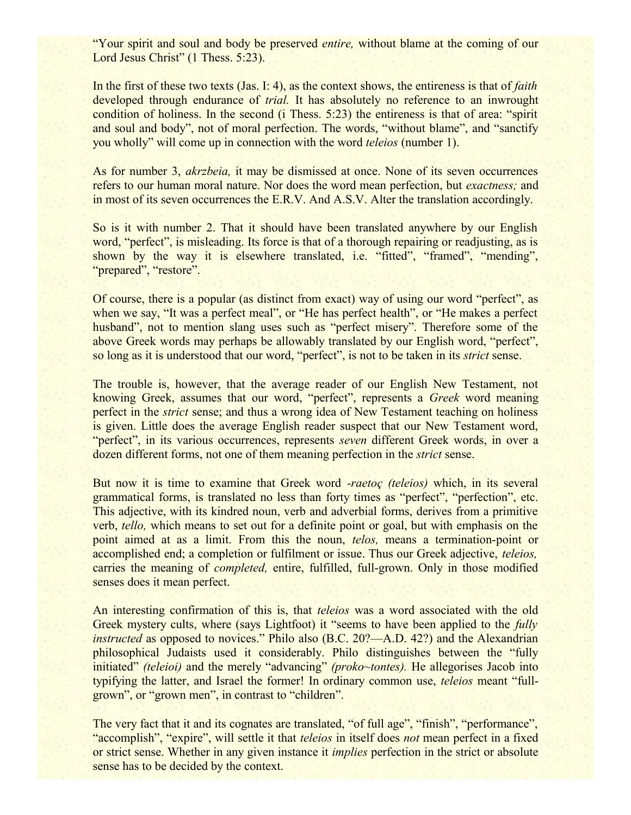"Your spirit and soul and body be preserved *entire,* without blame at the coming of our Lord Jesus Christ" (1 Thess. 5:23).

In the first of these two texts (Jas. I: 4), as the context shows, the entireness is that of *faith* developed through endurance of *trial*. It has absolutely no reference to an inwrought condition of holiness. In the second (i Thess. 5:23) the entireness is that of area: "spirit and soul and body", not of moral perfection. The words, "without blame", and "sanctify you wholly" will come up in connection with the word *teleios* (number 1).

As for number 3, *akrzbeia,* it may be dismissed at once. None of its seven occurrences refers to our human moral nature. Nor does the word mean perfection, but *exactness;* and in most of its seven occurrences the E.R.V. And A.S.V. Alter the translation accordingly.

So is it with number 2. That it should have been translated anywhere by our English word, "perfect", is misleading. Its force is that of a thorough repairing or readjusting, as is shown by the way it is elsewhere translated, i.e. "fitted", "framed", "mending", "prepared", "restore".

Of course, there is a popular (as distinct from exact) way of using our word "perfect", as when we say, "It was a perfect meal", or "He has perfect health", or "He makes a perfect husband", not to mention slang uses such as "perfect misery". Therefore some of the above Greek words may perhaps be allowably translated by our English word, "perfect", so long as it is understood that our word, "perfect", is not to be taken in its *strict* sense.

The trouble is, however, that the average reader of our English New Testament, not knowing Greek, assumes that our word, "perfect", represents a *Greek* word meaning perfect in the *strict* sense; and thus a wrong idea of New Testament teaching on holiness is given. Little does the average English reader suspect that our New Testament word, "perfect", in its various occurrences, represents *seven* different Greek words, in over a dozen different forms, not one of them meaning perfection in the *strict* sense.

But now it is time to examine that Greek word *-raetoç (teleios)* which, in its several grammatical forms, is translated no less than forty times as "perfect", "perfection", etc. This adjective, with its kindred noun, verb and adverbial forms, derives from a primitive verb, *tello,* which means to set out for a definite point or goal, but with emphasis on the point aimed at as a limit. From this the noun, *telos,* means a termination-point or accomplished end; a completion or fulfilment or issue. Thus our Greek adjective, *teleios,* carries the meaning of *completed,* entire, fulfilled, full-grown. Only in those modified senses does it mean perfect.

An interesting confirmation of this is, that *teleios* was a word associated with the old Greek mystery cults, where (says Lightfoot) it "seems to have been applied to the *fully instructed* as opposed to novices." Philo also (B.C. 20?—A.D. 42?) and the Alexandrian philosophical Judaists used it considerably. Philo distinguishes between the "fully initiated" *(teleioi)* and the merely "advancing" *(proko~tontes).* He allegorises Jacob into typifying the latter, and Israel the former! In ordinary common use, *teleios* meant "fullgrown", or "grown men", in contrast to "children".

The very fact that it and its cognates are translated, "of full age", "finish", "performance", "accomplish", "expire", will settle it that *teleios* in itself does *not* mean perfect in a fixed or strict sense. Whether in any given instance it *implies* perfection in the strict or absolute sense has to be decided by the context.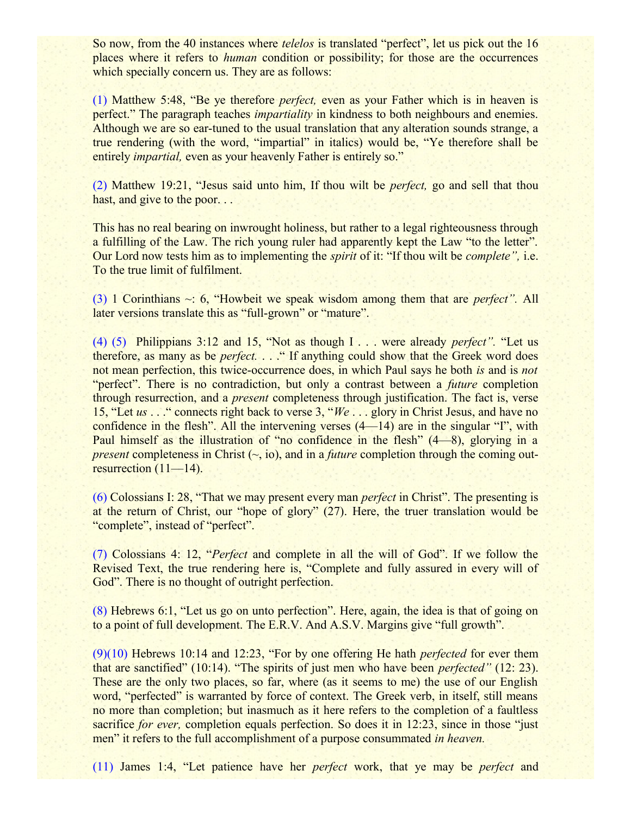So now, from the 40 instances where *telelos* is translated "perfect", let us pick out the 16 places where it refers to *human* condition or possibility; for those are the occurrences which specially concern us. They are as follows:

(1) Matthew 5:48, "Be ye therefore *perfect,* even as your Father which is in heaven is perfect." The paragraph teaches *impartiality* in kindness to both neighbours and enemies. Although we are so ear-tuned to the usual translation that any alteration sounds strange, a true rendering (with the word, "impartial" in italics) would be, "Ye therefore shall be entirely *impartial,* even as your heavenly Father is entirely so."

(2) Matthew 19:21, "Jesus said unto him, If thou wilt be *perfect,* go and sell that thou hast, and give to the poor...

This has no real bearing on inwrought holiness, but rather to a legal righteousness through a fulfilling of the Law. The rich young ruler had apparently kept the Law "to the letter". Our Lord now tests him as to implementing the *spirit* of it: "If thou wilt be *complete",* i.e. To the true limit of fulfilment.

(3) 1 Corinthians ~: 6, "Howbeit we speak wisdom among them that are *perfect".* All later versions translate this as "full-grown" or "mature".

(4) (5) Philippians 3:12 and 15, "Not as though I . . . were already *perfect".* "Let us therefore, as many as be *perfect.* . . ." If anything could show that the Greek word does not mean perfection, this twice-occurrence does, in which Paul says he both *is* and is *not* "perfect". There is no contradiction, but only a contrast between a *future* completion through resurrection, and a *present* completeness through justification. The fact is, verse 15, "Let *us* . . ." connects right back to verse 3, "*We* . . . glory in Christ Jesus, and have no confidence in the flesh". All the intervening verses (4—14) are in the singular "I", with Paul himself as the illustration of "no confidence in the flesh" (4—8), glorying in a *present* completeness in Christ  $(\sim$ , io), and in a *future* completion through the coming outresurrection (11—14).

(6) Colossians I: 28, "That we may present every man *perfect* in Christ". The presenting is at the return of Christ, our "hope of glory" (27). Here, the truer translation would be "complete", instead of "perfect".

(7) Colossians 4: 12, "*Perfect* and complete in all the will of God". If we follow the Revised Text, the true rendering here is, "Complete and fully assured in every will of God". There is no thought of outright perfection.

(8) Hebrews 6:1, "Let us go on unto perfection". Here, again, the idea is that of going on to a point of full development. The E.R.V. And A.S.V. Margins give "full growth".

(9)(10) Hebrews 10:14 and 12:23, "For by one offering He hath *perfected* for ever them that are sanctified" (10:14). "The spirits of just men who have been *perfected"* (12: 23). These are the only two places, so far, where (as it seems to me) the use of our English word, "perfected" is warranted by force of context. The Greek verb, in itself, still means no more than completion; but inasmuch as it here refers to the completion of a faultless sacrifice *for ever*, completion equals perfection. So does it in 12:23, since in those "just" men" it refers to the full accomplishment of a purpose consummated *in heaven.*

(11) James 1:4, "Let patience have her *perfect* work, that ye may be *perfect* and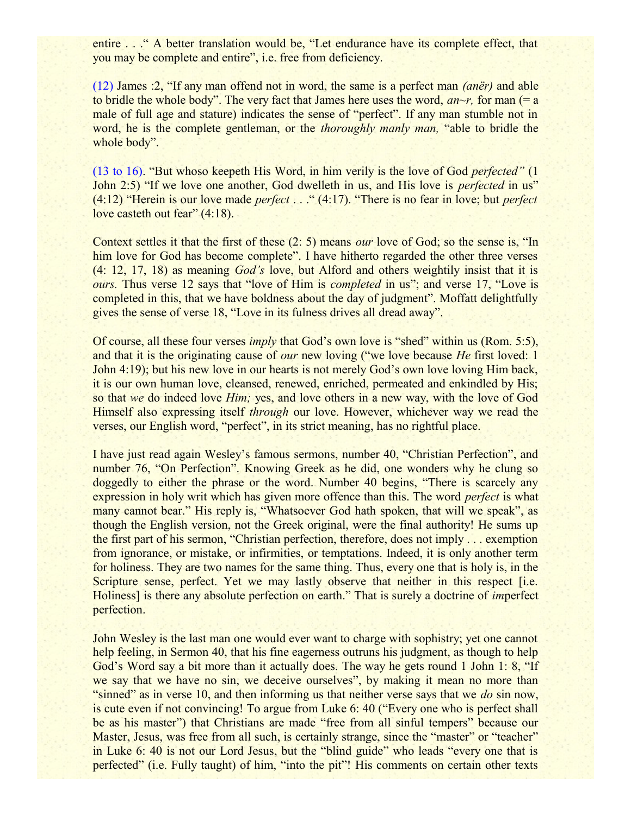entire . . . " A better translation would be, "Let endurance have its complete effect, that you may be complete and entire", i.e. free from deficiency.

(12) James :2, "If any man offend not in word, the same is a perfect man *(anër)* and able to bridle the whole body". The very fact that James here uses the word,  $an \sim r$ , for man (= a) male of full age and stature) indicates the sense of "perfect". If any man stumble not in word, he is the complete gentleman, or the *thoroughly manly man,* "able to bridle the whole body".

(13 to 16). "But whoso keepeth His Word, in him verily is the love of God *perfected"* (1 John 2:5) "If we love one another, God dwelleth in us, and His love is *perfected* in us" (4:12) "Herein is our love made *perfect* . . ." (4:17). "There is no fear in love; but *perfect* love casteth out fear" (4:18).

Context settles it that the first of these (2: 5) means *our* love of God; so the sense is, "In him love for God has become complete". I have hitherto regarded the other three verses (4: 12, 17, 18) as meaning *God's* love, but Alford and others weightily insist that it is *ours.* Thus verse 12 says that "love of Him is *completed* in us"; and verse 17, "Love is completed in this, that we have boldness about the day of judgment". Moffatt delightfully gives the sense of verse 18, "Love in its fulness drives all dread away".

Of course, all these four verses *imply* that God's own love is "shed" within us (Rom. 5:5), and that it is the originating cause of *our* new loving ("we love because *He* first loved: 1 John 4:19); but his new love in our hearts is not merely God's own love loving Him back, it is our own human love, cleansed, renewed, enriched, permeated and enkindled by His; so that *we* do indeed love *Him;* yes, and love others in a new way, with the love of God Himself also expressing itself *through* our love. However, whichever way we read the verses, our English word, "perfect", in its strict meaning, has no rightful place.

I have just read again Wesley's famous sermons, number 40, "Christian Perfection", and number 76, "On Perfection". Knowing Greek as he did, one wonders why he clung so doggedly to either the phrase or the word. Number 40 begins, "There is scarcely any expression in holy writ which has given more offence than this. The word *perfect* is what many cannot bear." His reply is, "Whatsoever God hath spoken, that will we speak", as though the English version, not the Greek original, were the final authority! He sums up the first part of his sermon, "Christian perfection, therefore, does not imply . . . exemption from ignorance, or mistake, or infirmities, or temptations. Indeed, it is only another term for holiness. They are two names for the same thing. Thus, every one that is holy is, in the Scripture sense, perfect. Yet we may lastly observe that neither in this respect [i.e. Holiness] is there any absolute perfection on earth." That is surely a doctrine of *im*perfect perfection.

John Wesley is the last man one would ever want to charge with sophistry; yet one cannot help feeling, in Sermon 40, that his fine eagerness outruns his judgment, as though to help God's Word say a bit more than it actually does. The way he gets round 1 John 1: 8, "If we say that we have no sin, we deceive ourselves", by making it mean no more than "sinned" as in verse 10, and then informing us that neither verse says that we *do* sin now, is cute even if not convincing! To argue from Luke 6: 40 ("Every one who is perfect shall be as his master") that Christians are made "free from all sinful tempers" because our Master, Jesus, was free from all such, is certainly strange, since the "master" or "teacher" in Luke 6: 40 is not our Lord Jesus, but the "blind guide" who leads "every one that is perfected" (i.e. Fully taught) of him, "into the pit"! His comments on certain other texts